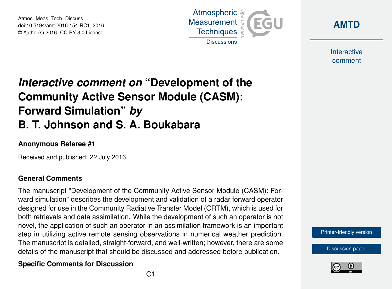Atmos. Meas. Tech. Discuss., doi:10.5194/amt-2016-154-RC1, 2016 © Author(s) 2016. CC-BY 3.0 License.





Interactive comment

# *Interactive comment on* **"Development of the Community Active Sensor Module (CASM): Forward Simulation"** *by* **B. T. Johnson and S. A. Boukabara**

### **Anonymous Referee #1**

Received and published: 22 July 2016

### **General Comments**

The manuscript "Development of the Community Active Sensor Module (CASM): Forward simulation" describes the development and validation of a radar forward operator designed for use in the Community Radiative Transfer Model (CRTM), which is used for both retrievals and data assimilation. While the development of such an operator is not novel, the application of such an operator in an assimilation framework is an important step in utilizing active remote sensing observations in numerical weather prediction. The manuscript is detailed, straight-forward, and well-written; however, there are some details of the manuscript that should be discussed and addressed before publication.

## **Specific Comments for Discussion**



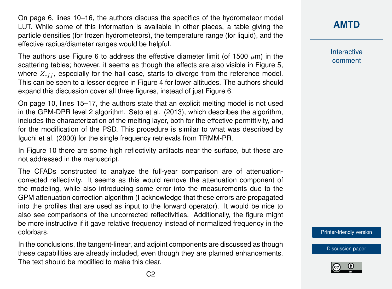On page 6, lines 10–16, the authors discuss the specifics of the hydrometeor model LUT. While some of this information is available in other places, a table giving the particle densities (for frozen hydrometeors), the temperature range (for liquid), and the effective radius/diameter ranges would be helpful.

The authors use Figure 6 to address the effective diameter limit (of 1500  $\mu$ m) in the scattering tables; however, it seems as though the effects are also visible in Figure 5, where  $Z_{eff}$ , especially for the hail case, starts to diverge from the reference model. This can be seen to a lesser degree in Figure 4 for lower altitudes. The authors should expand this discussion cover all three figures, instead of just Figure 6.

On page 10, lines 15–17, the authors state that an explicit melting model is not used in the GPM-DPR level 2 algorithm. Seto et al. (2013), which describes the algorithm, includes the characterization of the melting layer, both for the effective permittivity, and for the modification of the PSD. This procedure is similar to what was described by Iguchi et al. (2000) for the single frequency retrievals from TRMM-PR.

In Figure 10 there are some high reflectivity artifacts near the surface, but these are not addressed in the manuscript.

The CFADs constructed to analyze the full-year comparison are of attenuationcorrected reflectivity. It seems as this would remove the attenuation component of the modeling, while also introducing some error into the measurements due to the GPM attenuation correction algorithm (I acknowledge that these errors are propagated into the profiles that are used as input to the forward operator). It would be nice to also see comparisons of the uncorrected reflectivities. Additionally, the figure might be more instructive if it gave relative frequency instead of normalized frequency in the colorbars.

In the conclusions, the tangent-linear, and adjoint components are discussed as though these capabilities are already included, even though they are planned enhancements. The text should be modified to make this clear.

## **[AMTD](http://www.atmos-meas-tech-discuss.net/)**

Interactive comment

[Printer-friendly version](http://www.atmos-meas-tech-discuss.net/amt-2016-154/amt-2016-154-RC1-print.pdf)

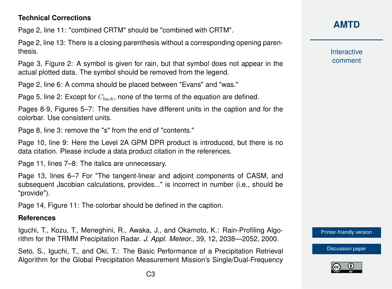## **Technical Corrections**

Page 2, line 11: "combined CRTM" should be "combined with CRTM".

Page 2, line 13: There is a closing parenthesis without a corresponding opening parenthesis.

Page 3, Figure 2: A symbol is given for rain, but that symbol does not appear in the actual plotted data. The symbol should be removed from the legend.

Page 2, line 6: A comma should be placed between "Evans" and "was."

Page 5, line 2: Except for  $C_{back}$ , none of the terms of the equation are defined.

Pages 8-9, Figures 5–7: The densities have different units in the caption and for the colorbar. Use consistent units.

Page 8, line 3: remove the "s" from the end of "contents."

Page 10, line 9: Here the Level 2A GPM DPR product is introduced, but there is no data citation. Please include a data product citation in the references.

Page 11, lines 7–8: The italics are unnecessary.

Page 13, lines 6–7 For "The tangent-linear and adjoint components of CASM, and subsequent Jacobian calculations, provides..." is incorrect in number (i.e., should be "provide").

Page 14, Figure 11: The colorbar should be defined in the caption.

#### **References**

Iguchi, T., Kozu, T., Meneghini, R., Awaka, J., and Okamoto, K.: Rain-Profiling Algorithm for the TRMM Precipitation Radar. *J. Appl. Meteor.*, 39, 12, 2038—2052, 2000.

Seto, S., Iguchi, T., and Oki, T.: The Basic Performance of a Precipitation Retrieval Algorithm for the Global Precipitation Measurement Mission's Single/Dual-Frequency

## **[AMTD](http://www.atmos-meas-tech-discuss.net/)**

**Interactive** comment

[Printer-friendly version](http://www.atmos-meas-tech-discuss.net/amt-2016-154/amt-2016-154-RC1-print.pdf)